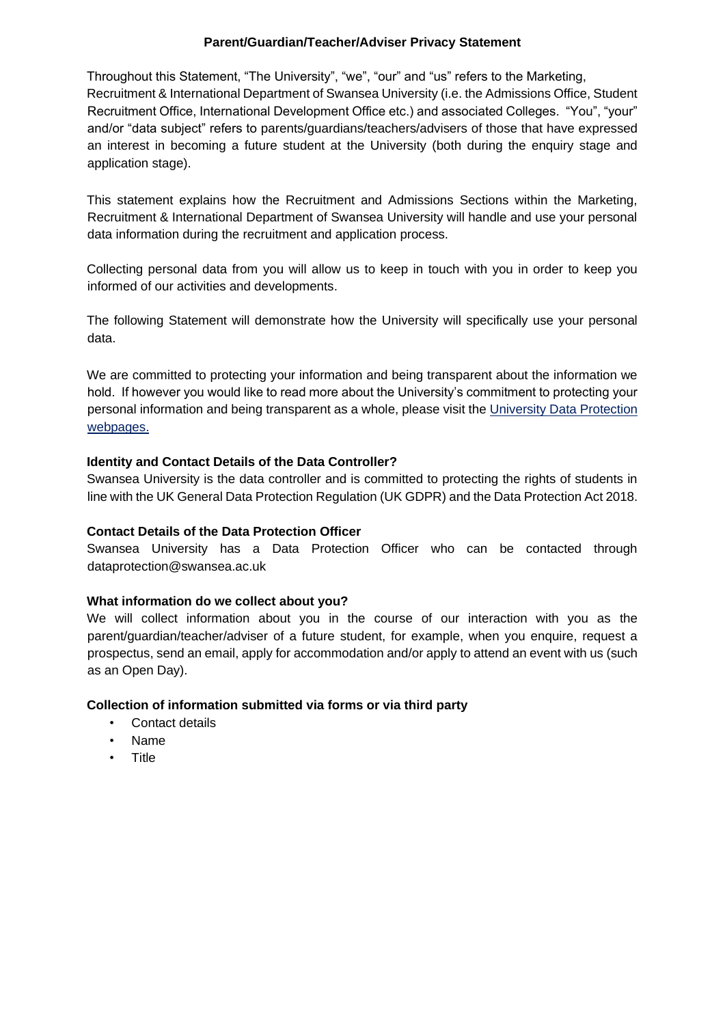### **Parent/Guardian/Teacher/Adviser Privacy Statement**

Throughout this Statement, "The University", "we", "our" and "us" refers to the Marketing, Recruitment & International Department of Swansea University (i.e. the Admissions Office, Student Recruitment Office, International Development Office etc.) and associated Colleges. "You", "your" and/or "data subject" refers to parents/guardians/teachers/advisers of those that have expressed an interest in becoming a future student at the University (both during the enquiry stage and application stage).

This statement explains how the Recruitment and Admissions Sections within the Marketing, Recruitment & International Department of Swansea University will handle and use your personal data information during the recruitment and application process.

Collecting personal data from you will allow us to keep in touch with you in order to keep you informed of our activities and developments.

The following Statement will demonstrate how the University will specifically use your personal data.

We are committed to protecting your information and being transparent about the information we hold. If however you would like to read more about the University's commitment to protecting your personal information and being transparent as a whole, please visit the University Data Protection webpage[s.](http://www.swansea.ac.uk/the-university/world-class/vicechancellorsoffice/compliance/dataprotection/dataprotectionpolicy/)

# **Identity and Contact Details of the Data Controller?**

Swansea University is the data controller and is committed to protecting the rights of students in line with the UK General Data Protection Regulation (UK GDPR) and the Data Protection Act 2018.

#### **Contact Details of the Data Protection Officer**

Swansea University has a Data Protection Officer who can be contacted through dataprotection@swansea.ac.uk

#### **What information do we collect about you?**

We will collect information about you in the course of our interaction with you as the parent/guardian/teacher/adviser of a future student, for example, when you enquire, request a prospectus, send an email, apply for accommodation and/or apply to attend an event with us (such as an Open Day).

#### **Collection of information submitted via forms or via third party**

- Contact details
- Name
- Title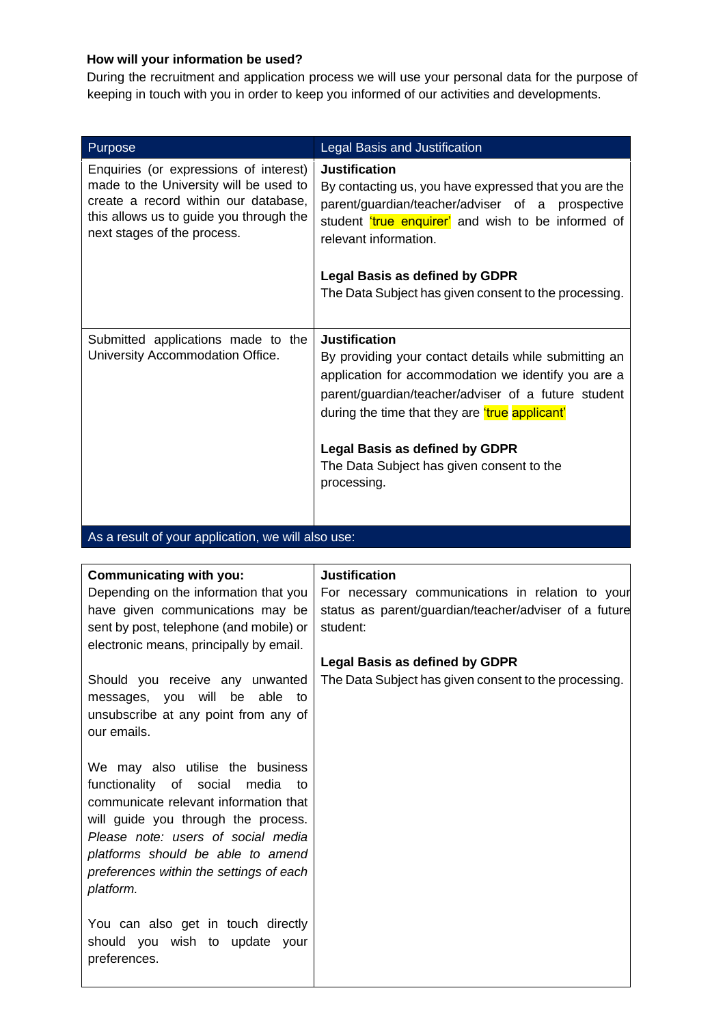# **How will your information be used?**

During the recruitment and application process we will use your personal data for the purpose of keeping in touch with you in order to keep you informed of our activities and developments.

| Purpose                                                                                                                                                                                            | Legal Basis and Justification                                                                                                                                                                                                                                                                                                                            |
|----------------------------------------------------------------------------------------------------------------------------------------------------------------------------------------------------|----------------------------------------------------------------------------------------------------------------------------------------------------------------------------------------------------------------------------------------------------------------------------------------------------------------------------------------------------------|
| Enquiries (or expressions of interest)<br>made to the University will be used to<br>create a record within our database,<br>this allows us to guide you through the<br>next stages of the process. | <b>Justification</b><br>By contacting us, you have expressed that you are the<br>parent/guardian/teacher/adviser of a prospective<br>student true enquirer' and wish to be informed of<br>relevant information.                                                                                                                                          |
|                                                                                                                                                                                                    | <b>Legal Basis as defined by GDPR</b><br>The Data Subject has given consent to the processing.                                                                                                                                                                                                                                                           |
| Submitted applications made to the<br>University Accommodation Office.                                                                                                                             | <b>Justification</b><br>By providing your contact details while submitting an<br>application for accommodation we identify you are a<br>parent/guardian/teacher/adviser of a future student<br>during the time that they are <i>true</i> applicant'<br><b>Legal Basis as defined by GDPR</b><br>The Data Subject has given consent to the<br>processing. |

As a result of your application, we will also use:

| Communicating with you:                                                          | <b>Justification</b>                                  |
|----------------------------------------------------------------------------------|-------------------------------------------------------|
| Depending on the information that you                                            | For necessary communications in relation to your      |
| have given communications may be                                                 | status as parent/guardian/teacher/adviser of a future |
| sent by post, telephone (and mobile) or                                          | student:                                              |
| electronic means, principally by email.                                          |                                                       |
|                                                                                  | <b>Legal Basis as defined by GDPR</b>                 |
| Should you receive any unwanted                                                  | The Data Subject has given consent to the processing. |
| messages, you will be able<br>to                                                 |                                                       |
| unsubscribe at any point from any of                                             |                                                       |
| our emails.                                                                      |                                                       |
|                                                                                  |                                                       |
| We may also utilise the business                                                 |                                                       |
| functionality of social<br>media<br>to:<br>communicate relevant information that |                                                       |
| will guide you through the process.                                              |                                                       |
| Please note: users of social media                                               |                                                       |
| platforms should be able to amend                                                |                                                       |
| preferences within the settings of each                                          |                                                       |
| platform.                                                                        |                                                       |
|                                                                                  |                                                       |
| You can also get in touch directly                                               |                                                       |
| should you wish to update your                                                   |                                                       |
| preferences.                                                                     |                                                       |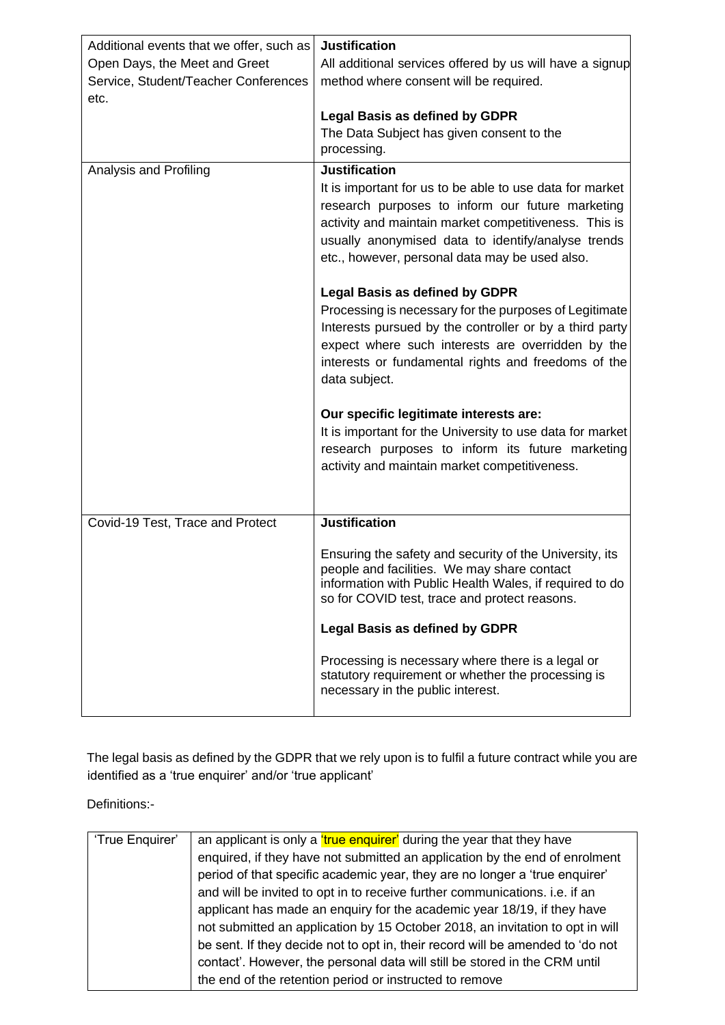| Additional events that we offer, such as<br>Open Days, the Meet and Greet<br>Service, Student/Teacher Conferences<br>etc. | <b>Justification</b><br>All additional services offered by us will have a signup<br>method where consent will be required.<br><b>Legal Basis as defined by GDPR</b>                                                                                                                                                                                                                                                                                                                                                                                                                                                                                                                                                                                                                                          |
|---------------------------------------------------------------------------------------------------------------------------|--------------------------------------------------------------------------------------------------------------------------------------------------------------------------------------------------------------------------------------------------------------------------------------------------------------------------------------------------------------------------------------------------------------------------------------------------------------------------------------------------------------------------------------------------------------------------------------------------------------------------------------------------------------------------------------------------------------------------------------------------------------------------------------------------------------|
|                                                                                                                           | The Data Subject has given consent to the<br>processing.                                                                                                                                                                                                                                                                                                                                                                                                                                                                                                                                                                                                                                                                                                                                                     |
| Analysis and Profiling                                                                                                    | <b>Justification</b><br>It is important for us to be able to use data for market<br>research purposes to inform our future marketing<br>activity and maintain market competitiveness. This is<br>usually anonymised data to identify/analyse trends<br>etc., however, personal data may be used also.<br><b>Legal Basis as defined by GDPR</b><br>Processing is necessary for the purposes of Legitimate<br>Interests pursued by the controller or by a third party<br>expect where such interests are overridden by the<br>interests or fundamental rights and freedoms of the<br>data subject.<br>Our specific legitimate interests are:<br>It is important for the University to use data for market<br>research purposes to inform its future marketing<br>activity and maintain market competitiveness. |
| Covid-19 Test, Trace and Protect                                                                                          | <b>Justification</b><br>Ensuring the safety and security of the University, its<br>people and facilities. We may share contact<br>information with Public Health Wales, if required to do<br>so for COVID test, trace and protect reasons.                                                                                                                                                                                                                                                                                                                                                                                                                                                                                                                                                                   |
|                                                                                                                           | <b>Legal Basis as defined by GDPR</b><br>Processing is necessary where there is a legal or<br>statutory requirement or whether the processing is<br>necessary in the public interest.                                                                                                                                                                                                                                                                                                                                                                                                                                                                                                                                                                                                                        |

The legal basis as defined by the GDPR that we rely upon is to fulfil a future contract while you are identified as a 'true enquirer' and/or 'true applicant'

Definitions:-

| 'True Enquirer' | an applicant is only a <i>true</i> enquirer' during the year that they have    |
|-----------------|--------------------------------------------------------------------------------|
|                 | enquired, if they have not submitted an application by the end of enrolment    |
|                 | period of that specific academic year, they are no longer a 'true enquirer'    |
|                 | and will be invited to opt in to receive further communications. i.e. if an    |
|                 | applicant has made an enquiry for the academic year 18/19, if they have        |
|                 | not submitted an application by 15 October 2018, an invitation to opt in will  |
|                 | be sent. If they decide not to opt in, their record will be amended to 'do not |
|                 | contact'. However, the personal data will still be stored in the CRM until     |
|                 | the end of the retention period or instructed to remove                        |
|                 |                                                                                |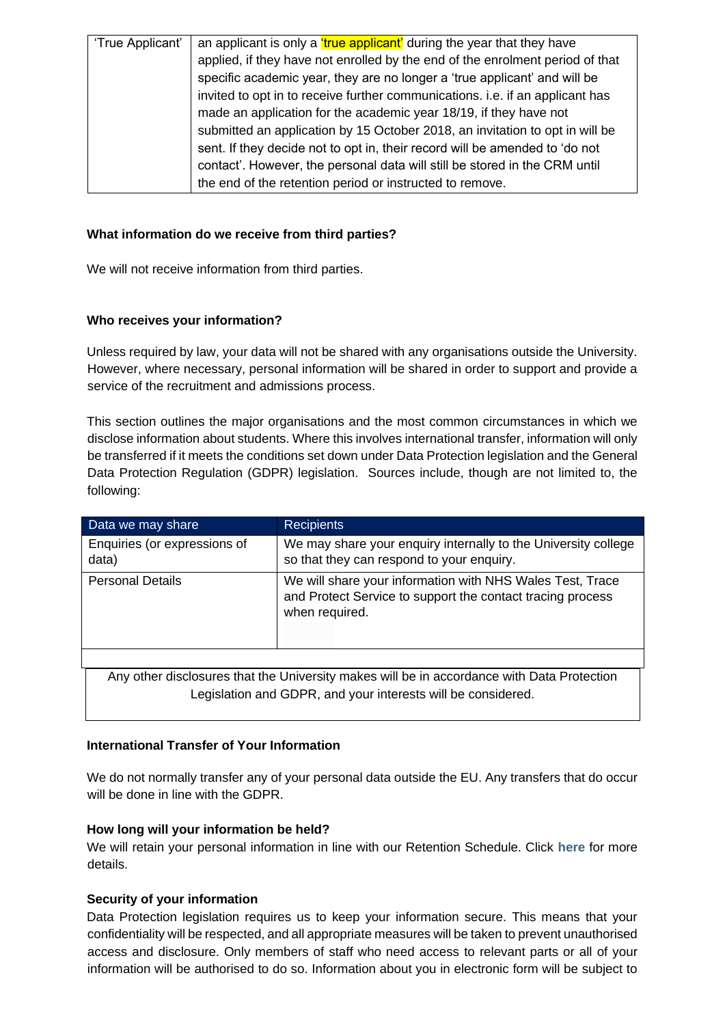| 'True Applicant' | an applicant is only a <i>true applicant'</i> during the year that they have  |
|------------------|-------------------------------------------------------------------------------|
|                  | applied, if they have not enrolled by the end of the enrolment period of that |
|                  | specific academic year, they are no longer a 'true applicant' and will be     |
|                  | invited to opt in to receive further communications. i.e. if an applicant has |
|                  | made an application for the academic year 18/19, if they have not             |
|                  | submitted an application by 15 October 2018, an invitation to opt in will be  |
|                  | sent. If they decide not to opt in, their record will be amended to 'do not   |
|                  | contact'. However, the personal data will still be stored in the CRM until    |
|                  | the end of the retention period or instructed to remove.                      |
|                  |                                                                               |

### **What information do we receive from third parties?**

We will not receive information from third parties.

# **Who receives your information?**

Unless required by law, your data will not be shared with any organisations outside the University. However, where necessary, personal information will be shared in order to support and provide a service of the recruitment and admissions process.

This section outlines the major organisations and the most common circumstances in which we disclose information about students. Where this involves international transfer, information will only be transferred if it meets the conditions set down under Data Protection legislation and the General Data Protection Regulation (GDPR) legislation. Sources include, though are not limited to, the following:

| Data we may share                                                                          | <b>Recipients</b>                                                                                                                         |  |
|--------------------------------------------------------------------------------------------|-------------------------------------------------------------------------------------------------------------------------------------------|--|
| Enquiries (or expressions of<br>data)                                                      | We may share your enquiry internally to the University college<br>so that they can respond to your enquiry.                               |  |
| <b>Personal Details</b>                                                                    | We will share your information with NHS Wales Test, Trace<br>and Protect Service to support the contact tracing process<br>when required. |  |
|                                                                                            |                                                                                                                                           |  |
| Any other disclosures that the University makes will be in accordance with Data Protection |                                                                                                                                           |  |

#### **International Transfer of Your Information**

We do not normally transfer any of your personal data outside the EU. Any transfers that do occur will be done in line with the GDPR.

Legislation and GDPR, and your interests will be considered.

#### **How long will your information be held?**

We will retain your personal information in line with our Retention Schedule. Click **[here](https://www.swansea.ac.uk/media/Retention-Schedeule-.pdf)** for more details.

#### **Security of your information**

Data Protection legislation requires us to keep your information secure. This means that your confidentiality will be respected, and all appropriate measures will be taken to prevent unauthorised access and disclosure. Only members of staff who need access to relevant parts or all of your information will be authorised to do so. Information about you in electronic form will be subject to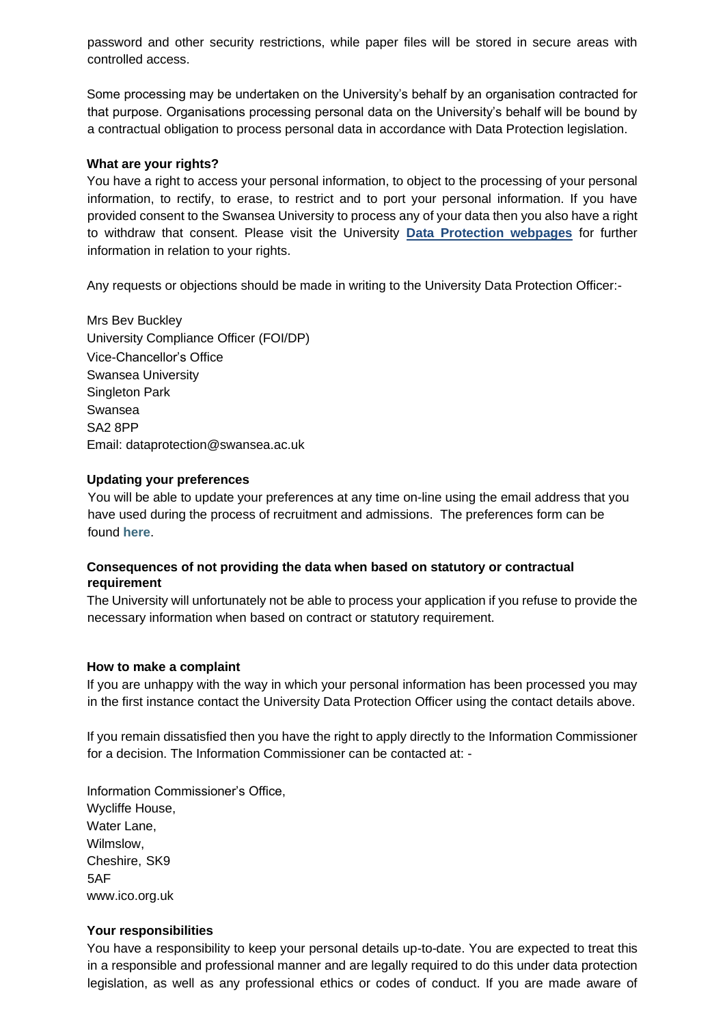password and other security restrictions, while paper files will be stored in secure areas with controlled access.

Some processing may be undertaken on the University's behalf by an organisation contracted for that purpose. Organisations processing personal data on the University's behalf will be bound by a contractual obligation to process personal data in accordance with Data Protection legislation.

#### **What are your rights?**

You have a right to access your personal information, to object to the processing of your personal information, to rectify, to erase, to restrict and to port your personal information. If you have provided consent to the Swansea University to process any of your data then you also have a right to withdraw that consent. Please visit the University **[Data Protection webpages](https://www.swansea.ac.uk/about-us/compliance/data-protection/)** [f](https://www.swansea.ac.uk/about-us/compliance/data-protection/)or further information in relation to your rights.

Any requests or objections should be made in writing to the University Data Protection Officer:-

Mrs Bev Buckley University Compliance Officer (FOI/DP) Vice-Chancellor's Office Swansea University Singleton Park Swansea SA2 8PP Email: dataprotection@swansea.ac.uk

#### **Updating your preferences**

You will be able to update your preferences at any time on-line using the email address that you have used during the process of recruitment and admissions. The preferences form can be found **[here](http://r1.surveysandforms.com/201slh80-59345i7a)**[.](http://r1.surveysandforms.com/201slh80-59345i7a)

# **Consequences of not providing the data when based on statutory or contractual requirement**

The University will unfortunately not be able to process your application if you refuse to provide the necessary information when based on contract or statutory requirement.

#### **How to make a complaint**

If you are unhappy with the way in which your personal information has been processed you may in the first instance contact the University Data Protection Officer using the contact details above.

If you remain dissatisfied then you have the right to apply directly to the Information Commissioner for a decision. The Information Commissioner can be contacted at: -

Information Commissioner's Office, Wycliffe House, Water Lane, Wilmslow, Cheshire, SK9 5AF [www.ico.org.uk](http://www.ico.org.uk/)

#### **Your responsibilities**

You have a responsibility to keep your personal details up-to-date. You are expected to treat this in a responsible and professional manner and are legally required to do this under data protection legislation, as well as any professional ethics or codes of conduct. If you are made aware of